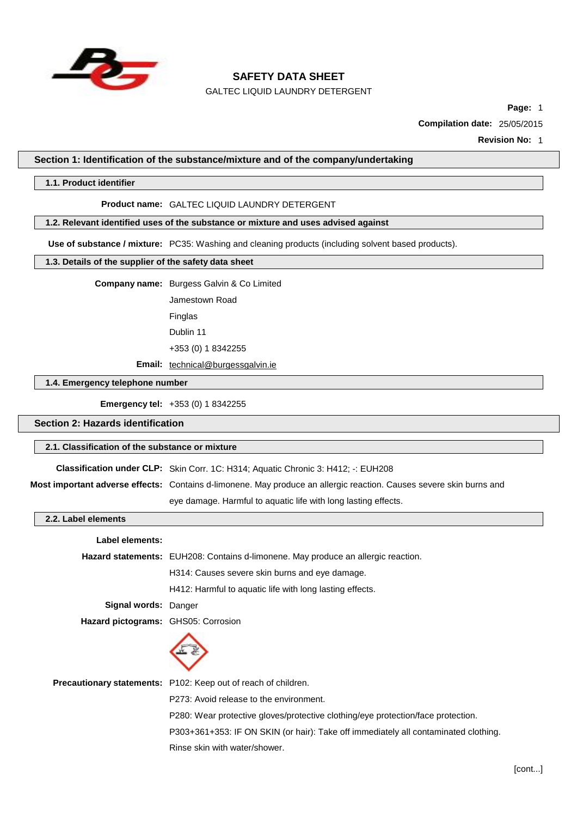

GALTEC LIQUID LAUNDRY DETERGENT

**Page:** 1

**Compilation date:** 25/05/2015

**Revision No:** 1

### **Section 1: Identification of the substance/mixture and of the company/undertaking**

### **1.1. Product identifier**

#### **Product name:** GALTEC LIQUID LAUNDRY DETERGENT

### **1.2. Relevant identified uses of the substance or mixture and uses advised against**

**Use of substance / mixture:** PC35: Washing and cleaning products (including solvent based products).

### **1.3. Details of the supplier of the safety data sheet**

**Company name:** Burgess Galvin & Co Limited

Jamestown Road Finglas

Dublin 11

+353 (0) 1 8342255

**Email:** [technical@burgessgalvin.ie](mailto:technical@burgessgalvin.ie)

# **1.4. Emergency telephone number**

**Emergency tel:** +353 (0) 1 8342255

### **Section 2: Hazards identification**

### **2.1. Classification of the substance or mixture**

**Classification under CLP:** Skin Corr. 1C: H314; Aquatic Chronic 3: H412; -: EUH208

**Most important adverse effects:** Contains d-limonene. May produce an allergic reaction. Causes severe skin burns and

eye damage. Harmful to aquatic life with long lasting effects.

#### **2.2. Label elements**

| Label elements:                     |                                                                                          |
|-------------------------------------|------------------------------------------------------------------------------------------|
|                                     | <b>Hazard statements:</b> EUH208: Contains d-limonene. May produce an allergic reaction. |
|                                     | H314: Causes severe skin burns and eye damage.                                           |
|                                     | H412: Harmful to aquatic life with long lasting effects.                                 |
| Signal words: Danger                |                                                                                          |
| Hazard pictograms: GHS05: Corrosion |                                                                                          |
|                                     |                                                                                          |
|                                     | <b>Precautionary statements:</b> P102: Keep out of reach of children.                    |
|                                     | P273: Avoid release to the environment.                                                  |
|                                     | P280: Wear protective gloves/protective clothing/eye protection/face protection.         |
|                                     | P303+361+353: IF ON SKIN (or hair): Take off immediately all contaminated clothing.      |
|                                     | Rinse skin with water/shower.                                                            |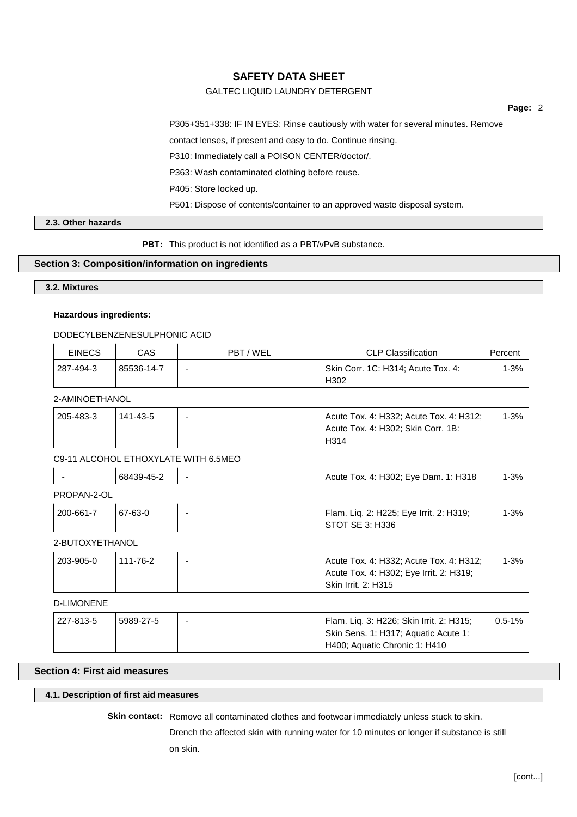## GALTEC LIQUID LAUNDRY DETERGENT

**Page:** 2

P305+351+338: IF IN EYES: Rinse cautiously with water for several minutes. Remove

contact lenses, if present and easy to do. Continue rinsing.

P310: Immediately call a POISON CENTER/doctor/.

P363: Wash contaminated clothing before reuse.

P405: Store locked up.

P501: Dispose of contents/container to an approved waste disposal system.

## **2.3. Other hazards**

**PBT:** This product is not identified as a PBT/vPvB substance.

### **Section 3: Composition/information on ingredients**

## **3.2. Mixtures**

## **Hazardous ingredients:**

### DODECYLBENZENESULPHONIC ACID

| <b>EINECS</b> | CAS        | PBT/WEL | CLP Classification                 | Percent |
|---------------|------------|---------|------------------------------------|---------|
| 287-494-3     | 85536-14-7 |         | Skin Corr. 1C: H314; Acute Tox. 4: | 1-3%    |
|               |            |         | H <sub>302</sub>                   |         |

## 2-AMINOETHANOL

| 205-483-3 | 141-43-5 | Acute Tox. 4: H332; Acute Tox. 4: H312; | 1-3% |
|-----------|----------|-----------------------------------------|------|
|           |          | Acute Tox. 4: H302; Skin Corr. 1B:      |      |
|           |          | H314                                    |      |

### C9-11 ALCOHOL ETHOXYLATE WITH 6.5MEO

|            | 68439-45-2 | Acute Tox. 4: H302; Eye Dam. 1: H318 | $-3%$ |
|------------|------------|--------------------------------------|-------|
| וח פוממספם |            |                                      |       |

### PROPAN-2-OL

| 200-661-7 <sup>'</sup> | 67-63-0 | Flam. Lig. 2: H225; Eye Irrit. 2: H319; | $1 - 3%$ |
|------------------------|---------|-----------------------------------------|----------|
|                        |         | STOT SE 3: H336                         |          |

# 2-BUTOXYETHANOL

| 203-905-0 | 111-76-2 | Acute Tox. 4: H332: Acute Tox. 4: H312: | $1 - 3%$ |
|-----------|----------|-----------------------------------------|----------|
|           |          | Acute Tox. 4: H302; Eye Irrit. 2: H319; |          |
|           |          | <b>Skin Irrit. 2: H315</b>              |          |

# D-LIMONENE

| 227-813-5 | 5989-27-5 | Flam. Lig. 3: H226; Skin Irrit. 2: H315; | $0.5 - 1\%$ |
|-----------|-----------|------------------------------------------|-------------|
|           |           | Skin Sens. 1: H317; Aquatic Acute 1:     |             |
|           |           | H400; Aquatic Chronic 1: H410            |             |

## **Section 4: First aid measures**

**4.1. Description of first aid measures**

**Skin contact:** Remove all contaminated clothes and footwear immediately unless stuck to skin.

Drench the affected skin with running water for 10 minutes or longer if substance is still on skin.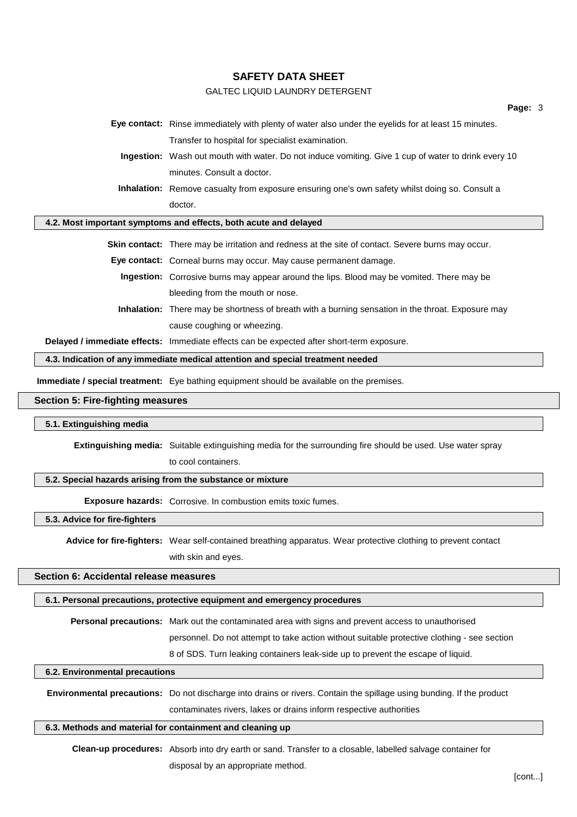## GALTEC LIQUID LAUNDRY DETERGENT

| Eye contact: Rinse immediately with plenty of water also under the eyelids for at least 15 minutes.      |  |  |  |  |
|----------------------------------------------------------------------------------------------------------|--|--|--|--|
| Transfer to hospital for specialist examination.                                                         |  |  |  |  |
| Ingestion: Wash out mouth with water. Do not induce vomiting. Give 1 cup of water to drink every 10      |  |  |  |  |
| minutes. Consult a doctor.                                                                               |  |  |  |  |
| <b>Inhalation:</b> Remove casualty from exposure ensuring one's own safety whilst doing so. Consult a    |  |  |  |  |
| doctor.                                                                                                  |  |  |  |  |
| 4.2. Most important symptoms and effects, both acute and delayed                                         |  |  |  |  |
| <b>Skin contact:</b> There may be irritation and redness at the site of contact. Severe burns may occur. |  |  |  |  |
| Eye contact: Corneal burns may occur. May cause permanent damage.                                        |  |  |  |  |
| <b>Ingestion:</b> Corrosive burns may appear around the lips. Blood may be vomited. There may be         |  |  |  |  |
| bleeding from the mouth or nose.                                                                         |  |  |  |  |
| <b>Inhalation:</b> There may be shortness of breath with a burning sensation in the throat. Exposure may |  |  |  |  |
| cause coughing or wheezing.                                                                              |  |  |  |  |
| Delayed / immediate effects: Immediate effects can be expected after short-term exposure.                |  |  |  |  |

**4.3. Indication of any immediate medical attention and special treatment needed**

**Immediate / special treatment:** Eye bathing equipment should be available on the premises.

### **Section 5: Fire-fighting measures**

#### **5.1. Extinguishing media**

**Extinguishing media:** Suitable extinguishing media for the surrounding fire should be used. Use water spray to cool containers.

#### **5.2. Special hazards arising from the substance or mixture**

**Exposure hazards:** Corrosive. In combustion emits toxic fumes.

#### **5.3. Advice for fire-fighters**

**Advice for fire-fighters:** Wear self-contained breathing apparatus. Wear protective clothing to prevent contact with skin and eyes.

## **Section 6: Accidental release measures**

### **6.1. Personal precautions, protective equipment and emergency procedures**

**Personal precautions:** Mark out the contaminated area with signs and prevent access to unauthorised personnel. Do not attempt to take action without suitable protective clothing - see section 8 of SDS. Turn leaking containers leak-side up to prevent the escape of liquid.

## **6.2. Environmental precautions**

**Environmental precautions:** Do not discharge into drains or rivers. Contain the spillage using bunding. If the product contaminates rivers, lakes or drains inform respective authorities

## **6.3. Methods and material for containment and cleaning up**

**Clean-up procedures:** Absorb into dry earth or sand. Transfer to a closable, labelled salvage container for disposal by an appropriate method.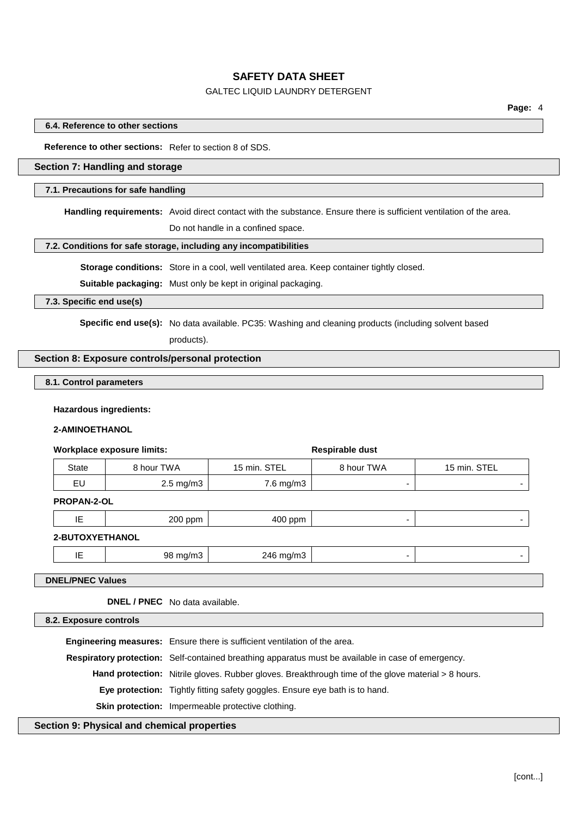## GALTEC LIQUID LAUNDRY DETERGENT

### **6.4. Reference to other sections**

**Reference to other sections:** Refer to section 8 of SDS.

## **Section 7: Handling and storage**

#### **7.1. Precautions for safe handling**

**Handling requirements:** Avoid direct contact with the substance. Ensure there is sufficient ventilation of the area.

Do not handle in a confined space.

#### **7.2. Conditions for safe storage, including any incompatibilities**

**Storage conditions:** Store in a cool, well ventilated area. Keep container tightly closed.

**Suitable packaging:** Must only be kept in original packaging.

**7.3. Specific end use(s)**

**Specific end use(s):** No data available. PC35: Washing and cleaning products (including solvent based

products).

## **Section 8: Exposure controls/personal protection**

### **8.1. Control parameters**

### **Hazardous ingredients:**

### **2-AMINOETHANOL**

#### **Workplace exposure limits: Respirable** dust

| State   | 8 hour TWA           | 15 min. STEL | 8 hour TWA               | 15 min. STEL |
|---------|----------------------|--------------|--------------------------|--------------|
| <b></b> | $2.5 \text{ mg/m}$ 3 | 7.6 mg/m3    | $\overline{\phantom{0}}$ |              |

## **PROPAN-2-OL**

| $\sim$<br>$\overline{\phantom{a}}$ | .<br>זנזנ<br>$  -$<br>. | $\sim$ $\sim$ $\sim$<br>$\sim$<br>. |  |
|------------------------------------|-------------------------|-------------------------------------|--|
|                                    |                         |                                     |  |

## **2-BUTOXYETHANOL**

|  | .<br>` mɑ/mა<br>$\Delta F$<br>.<br>.<br>$\sim$<br>__ |  |
|--|------------------------------------------------------|--|
|--|------------------------------------------------------|--|

**DNEL/PNEC Values**

**DNEL / PNEC** No data available.

**8.2. Exposure controls**

**Engineering measures:** Ensure there is sufficient ventilation of the area.

**Respiratory protection:** Self-contained breathing apparatus must be available in case of emergency.

**Hand protection:** Nitrile gloves. Rubber gloves. Breakthrough time of the glove material > 8 hours.

**Eye protection:** Tightly fitting safety goggles. Ensure eye bath is to hand.

**Skin protection:** Impermeable protective clothing.

### **Section 9: Physical and chemical properties**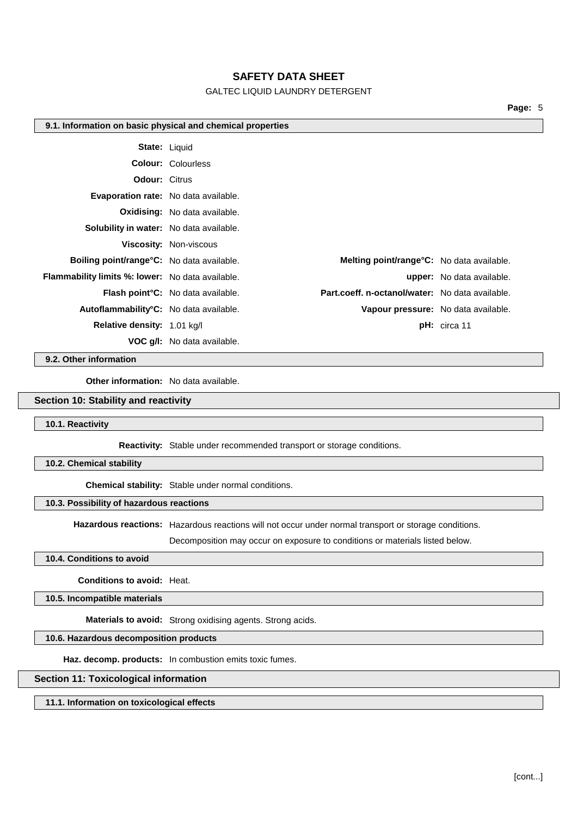## GALTEC LIQUID LAUNDRY DETERGENT

**Page:** 5

#### **9.1. Information on basic physical and chemical properties**

|                                                         | <b>State: Liquid</b>                                                                         |                                  |
|---------------------------------------------------------|----------------------------------------------------------------------------------------------|----------------------------------|
|                                                         | <b>Colour: Colourless</b>                                                                    |                                  |
| <b>Odour: Citrus</b>                                    |                                                                                              |                                  |
| <b>Evaporation rate:</b> No data available.             |                                                                                              |                                  |
|                                                         | <b>Oxidising:</b> No data available.                                                         |                                  |
| <b>Solubility in water:</b> No data available.          |                                                                                              |                                  |
|                                                         | <b>Viscosity: Non-viscous</b>                                                                |                                  |
| <b>Boiling point/range °C:</b> No data available.       | Melting point/range°C: No data available.                                                    |                                  |
| <b>Flammability limits %: lower:</b> No data available. |                                                                                              | <b>upper:</b> No data available. |
|                                                         | Part.coeff. n-octanol/water: No data available.<br><b>Flash point °C:</b> No data available. |                                  |
| Autoflammability <sup>°</sup> C: No data available.     | Vapour pressure: No data available.                                                          |                                  |
| Relative density: 1.01 kg/l                             |                                                                                              | $pH:$ circa 11                   |
|                                                         | <b>VOC q/l:</b> No data available.                                                           |                                  |

**9.2. Other information**

**Other information:** No data available.

#### **Section 10: Stability and reactivity**

**10.1. Reactivity**

**Reactivity:** Stable under recommended transport or storage conditions.

**10.2. Chemical stability**

**Chemical stability:** Stable under normal conditions.

## **10.3. Possibility of hazardous reactions**

**Hazardous reactions:** Hazardous reactions will not occur under normal transport or storage conditions.

Decomposition may occur on exposure to conditions or materials listed below.

### **10.4. Conditions to avoid**

**Conditions to avoid:** Heat.

**10.5. Incompatible materials**

**Materials to avoid:** Strong oxidising agents. Strong acids.

**10.6. Hazardous decomposition products**

**Haz. decomp. products:** In combustion emits toxic fumes.

## **Section 11: Toxicological information**

**11.1. Information on toxicological effects**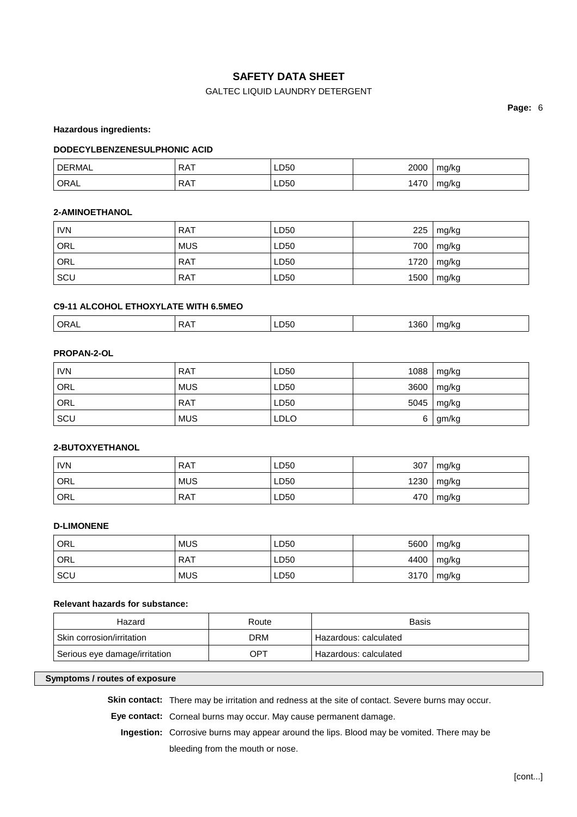# GALTEC LIQUID LAUNDRY DETERGENT

**Page:** 6

**Hazardous ingredients:**

### **DODECYLBENZENESULPHONIC ACID**

| <b>DERMAL</b> | <b>RAT</b> | LD50 | 2000 | mg/kg |
|---------------|------------|------|------|-------|
| ORAL          | <b>RAT</b> | LD50 | 1470 | mg/kg |

### **2-AMINOETHANOL**

| <b>IVN</b> | <b>RAT</b> | LD50 | 225  | mg/kg          |
|------------|------------|------|------|----------------|
| ' ORL      | <b>MUS</b> | LD50 | 700  | mg/kg          |
| ORL        | <b>RAT</b> | LD50 | 1720 | mg/kg          |
| SCU        | <b>RAT</b> | LD50 |      | $1500$   mg/kg |

## **C9-11 ALCOHOL ETHOXYLATE WITH 6.5MEO**

|  | ∩R∆<br>$  -$ | D.<br>. | $ -$ | $  -$<br>360 | $\cdots$<br>7 K.C |
|--|--------------|---------|------|--------------|-------------------|
|--|--------------|---------|------|--------------|-------------------|

## **PROPAN-2-OL**

| <b>IVN</b> | <b>RAT</b> | LD50        | 1088 | mg/kg |
|------------|------------|-------------|------|-------|
| ORL        | <b>MUS</b> | LD50        | 3600 | mg/kg |
| ORL        | <b>RAT</b> | LD50        | 5045 | mg/kg |
| SCU        | <b>MUS</b> | <b>LDLO</b> | 6    | gm/kg |

### **2-BUTOXYETHANOL**

| <b>IVN</b> | <b>RAT</b> | LD50 | 307  | mg/kg |
|------------|------------|------|------|-------|
| ORL        | <b>MUS</b> | LD50 | 1230 | mg/kg |
| ORL        | <b>RAT</b> | LD50 | 470  | mg/kg |

## **D-LIMONENE**

| ' ORL | <b>MUS</b> | LD50 | 5600 | mg/kg |
|-------|------------|------|------|-------|
| ' ORL | RAT        | LD50 | 4400 | mg/kg |
| SCU   | <b>MUS</b> | LD50 | 3170 | mg/kg |

## **Relevant hazards for substance:**

| Hazard                        | Route | <b>Basis</b>            |
|-------------------------------|-------|-------------------------|
| Skin corrosion/irritation     | DRM   | ' Hazardous: calculated |
| Serious eye damage/irritation | OPT   | Hazardous: calculated   |

## **Symptoms / routes of exposure**

**Skin contact:** There may be irritation and redness at the site of contact. Severe burns may occur.

**Eye contact:** Corneal burns may occur. May cause permanent damage.

**Ingestion:** Corrosive burns may appear around the lips. Blood may be vomited. There may be bleeding from the mouth or nose.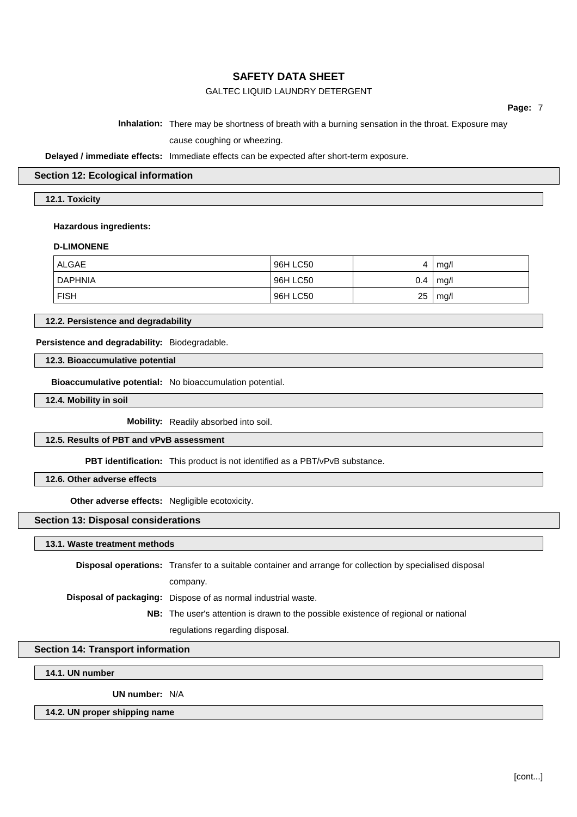## GALTEC LIQUID LAUNDRY DETERGENT

**Page:** 7

### **Inhalation:** There may be shortness of breath with a burning sensation in the throat. Exposure may

cause coughing or wheezing.

## **Delayed / immediate effects:** Immediate effects can be expected after short-term exposure.

## **Section 12: Ecological information**

**12.1. Toxicity**

#### **Hazardous ingredients:**

### **D-LIMONENE**

| <b>ALGAE</b>   | 96H LC50 |     | mg/l |
|----------------|----------|-----|------|
| <b>DAPHNIA</b> | 96H LC50 | 0.4 | mg/l |
| <b>FISH</b>    | 96H LC50 | 25  | mg/l |

**12.2. Persistence and degradability**

## **Persistence and degradability:** Biodegradable.

**12.3. Bioaccumulative potential**

**Bioaccumulative potential:** No bioaccumulation potential.

**12.4. Mobility in soil**

**Mobility:** Readily absorbed into soil.

## **12.5. Results of PBT and vPvB assessment**

**PBT identification:** This product is not identified as a PBT/vPvB substance.

**12.6. Other adverse effects**

**Other adverse effects:** Negligible ecotoxicity.

### **Section 13: Disposal considerations**

**13.1. Waste treatment methods**

**Disposal operations:** Transfer to a suitable container and arrange for collection by specialised disposal

company.

**Disposal of packaging:** Dispose of as normal industrial waste.

**NB:** The user's attention is drawn to the possible existence of regional or national regulations regarding disposal.

### **Section 14: Transport information**

**14.1. UN number**

**UN number:** N/A

**14.2. UN proper shipping name**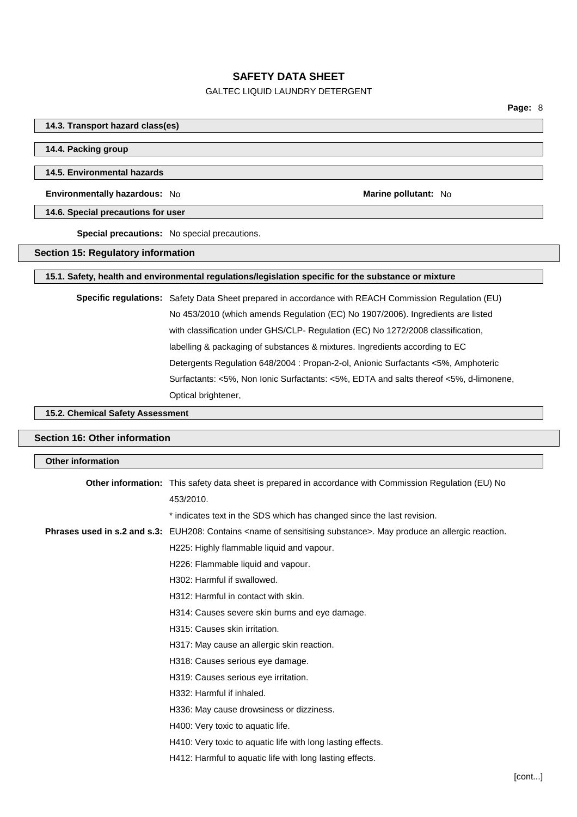## GALTEC LIQUID LAUNDRY DETERGENT

### **14.3. Transport hazard class(es)**

### **14.4. Packing group**

### **14.5. Environmental hazards**

**Environmentally hazardous:** No **Marine Marine Marine** pollutant: No **Marine Marine** pollutant: No

#### **14.6. Special precautions for user**

**Special precautions:** No special precautions.

### **Section 15: Regulatory information**

## **15.1. Safety, health and environmental regulations/legislation specific for the substance or mixture**

**Specific regulations:** Safety Data Sheet prepared in accordance with REACH Commission Regulation (EU) No 453/2010 (which amends Regulation (EC) No 1907/2006). Ingredients are listed with classification under GHS/CLP- Regulation (EC) No 1272/2008 classification, labelling & packaging of substances & mixtures. Ingredients according to EC Detergents Regulation 648/2004 : Propan-2-ol, Anionic Surfactants <5%, Amphoteric Surfactants: <5%, Non Ionic Surfactants: <5%, EDTA and salts thereof <5%, d-limonene, Optical brightener,

## **15.2. Chemical Safety Assessment**

#### **Section 16: Other information**

| <b>Other information</b> |                                                                                                                                  |
|--------------------------|----------------------------------------------------------------------------------------------------------------------------------|
|                          | <b>Other information:</b> This safety data sheet is prepared in accordance with Commission Regulation (EU) No                    |
|                          | 453/2010.                                                                                                                        |
|                          | * indicates text in the SDS which has changed since the last revision.                                                           |
|                          | Phrases used in s.2 and s.3: EUH208: Contains <name of="" sensitising="" substance="">. May produce an allergic reaction.</name> |
|                          | H225: Highly flammable liquid and vapour.                                                                                        |
|                          | H226: Flammable liquid and vapour.                                                                                               |
|                          | H302: Harmful if swallowed.                                                                                                      |
|                          | H312: Harmful in contact with skin.                                                                                              |
|                          | H314: Causes severe skin burns and eye damage.                                                                                   |
|                          | H315: Causes skin irritation.                                                                                                    |
|                          | H317: May cause an allergic skin reaction.                                                                                       |
|                          | H318: Causes serious eye damage.                                                                                                 |
|                          | H319: Causes serious eye irritation.                                                                                             |
|                          | H332: Harmful if inhaled.                                                                                                        |
|                          | H336: May cause drowsiness or dizziness.                                                                                         |
|                          | H400: Very toxic to aquatic life.                                                                                                |
|                          | H410: Very toxic to aquatic life with long lasting effects.                                                                      |
|                          | H412: Harmful to aquatic life with long lasting effects.                                                                         |